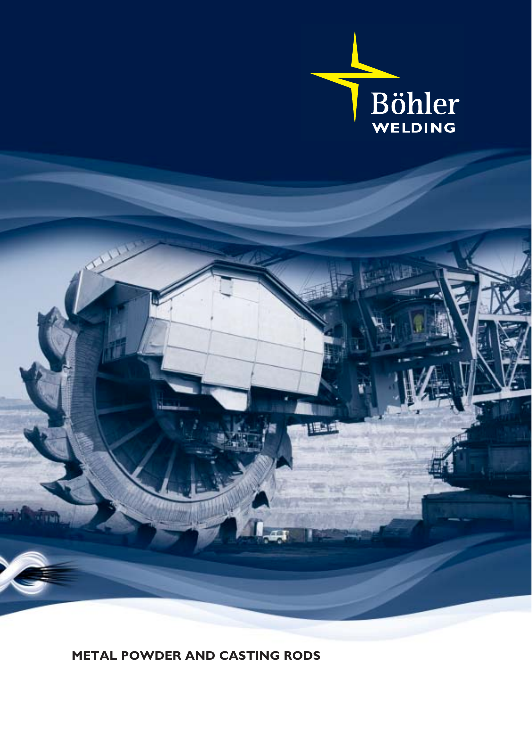



**METAL POWDER AND CASTING RODS**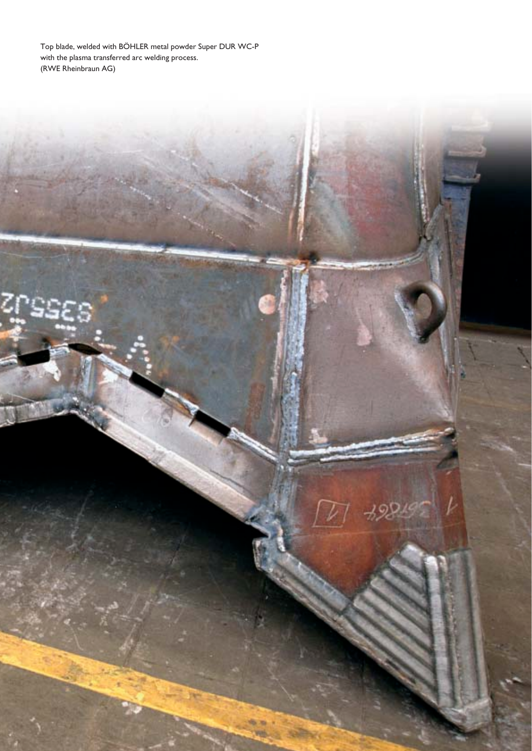Top blade, welded with BÖHLER metal powder Super DUR WC-P with the plasma transferred arc welding process. (RWE Rheinbraun AG)

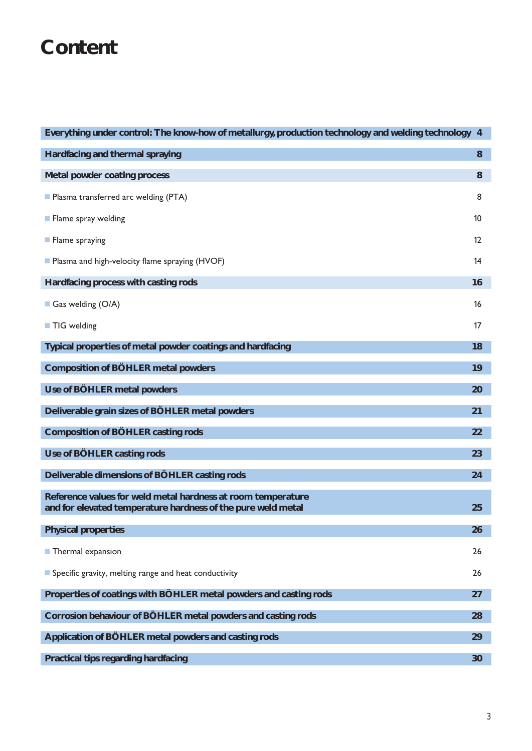### **Content**

| Everything under control: The know-how of metallurgy, production technology and welding technology 4                         |         |
|------------------------------------------------------------------------------------------------------------------------------|---------|
| Hardfacing and thermal spraying                                                                                              | 8       |
| Metal powder coating process                                                                                                 | 8       |
| Plasma transferred arc welding (PTA)                                                                                         | 8       |
| Flame spray welding                                                                                                          | 10      |
| <b>Flame spraying</b>                                                                                                        | $12 \,$ |
| Plasma and high-velocity flame spraying (HVOF)                                                                               | 14      |
| Hardfacing process with casting rods                                                                                         | 16      |
| Gas welding $(O/A)$                                                                                                          | 16      |
| TIG welding                                                                                                                  | 17      |
| Typical properties of metal powder coatings and hardfacing                                                                   | 18      |
| <b>Composition of BÖHLER metal powders</b>                                                                                   | 19      |
| Use of BÖHLER metal powders                                                                                                  | 20      |
| Deliverable grain sizes of BÖHLER metal powders                                                                              | 21      |
| <b>Composition of BÖHLER casting rods</b>                                                                                    | 22      |
| Use of BÖHLER casting rods                                                                                                   | 23      |
| Deliverable dimensions of BÖHLER casting rods                                                                                | 24      |
| Reference values for weld metal hardness at room temperature<br>and for elevated temperature hardness of the pure weld metal | 25      |
| <b>Physical properties</b>                                                                                                   | 26      |
| Thermal expansion                                                                                                            | 26      |
| Specific gravity, melting range and heat conductivity                                                                        | 26      |
| Properties of coatings with BÖHLER metal powders and casting rods                                                            | 27      |
| Corrosion behaviour of BÖHLER metal powders and casting rods                                                                 | 28      |
| Application of BÖHLER metal powders and casting rods                                                                         | 29      |
| <b>Practical tips regarding hardfacing</b>                                                                                   | 30      |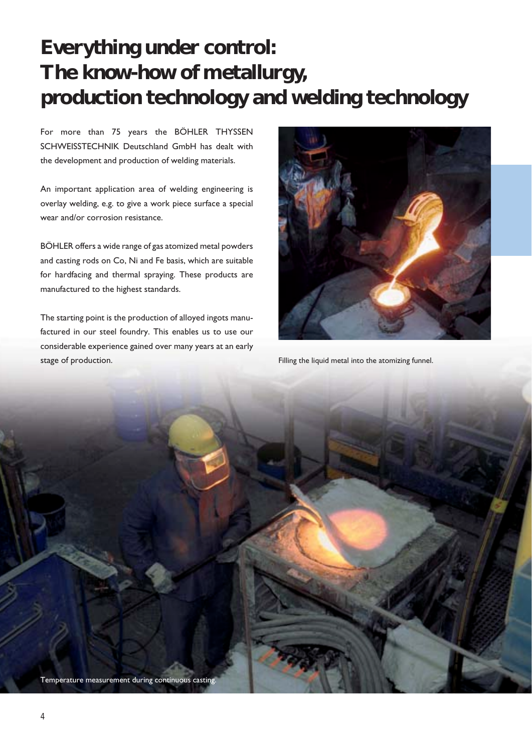### **Everything under control: The know-how of metallurgy, production technology and welding technology**

For more than 75 years the BÖHLER THYSSEN SCHWEISSTECHNIK Deutschland GmbH has dealt with the development and production of welding materials.

An important application area of welding engineering is overlay welding, e.g. to give a work piece surface a special wear and/or corrosion resistance.

BÖHLER offers a wide range of gas atomized metal powders and casting rods on Co, Ni and Fe basis, which are suitable for hardfacing and thermal spraying. These products are manufactured to the highest standards.

The starting point is the production of alloyed ingots manufactured in our steel foundry. This enables us to use our considerable experience gained over many years at an early stage of production.



Filling the liquid metal into the atomizing funnel.

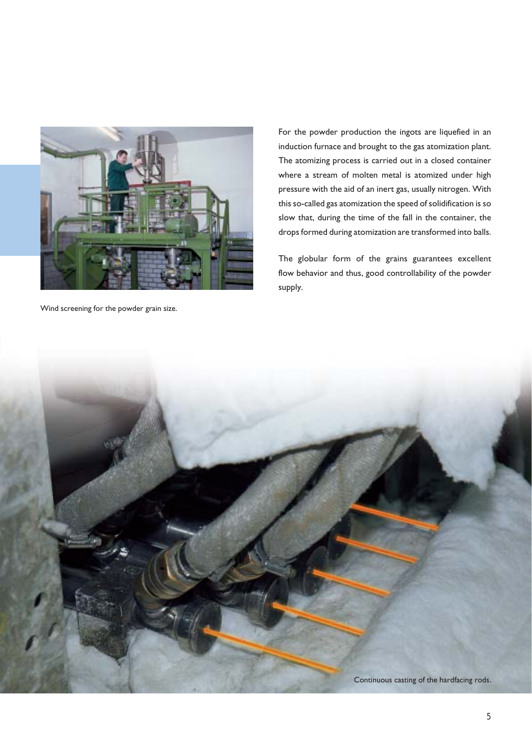

Wind screening for the powder grain size.

For the powder production the ingots are liquefied in an induction furnace and brought to the gas atomization plant. The atomizing process is carried out in a closed container where a stream of molten metal is atomized under high pressure with the aid of an inert gas, usually nitrogen. With this so-called gas atomization the speed of solidification is so slow that, during the time of the fall in the container, the drops formed during atomization are transformed into balls.

The globular form of the grains guarantees excellent flow behavior and thus, good controllability of the powder supply.

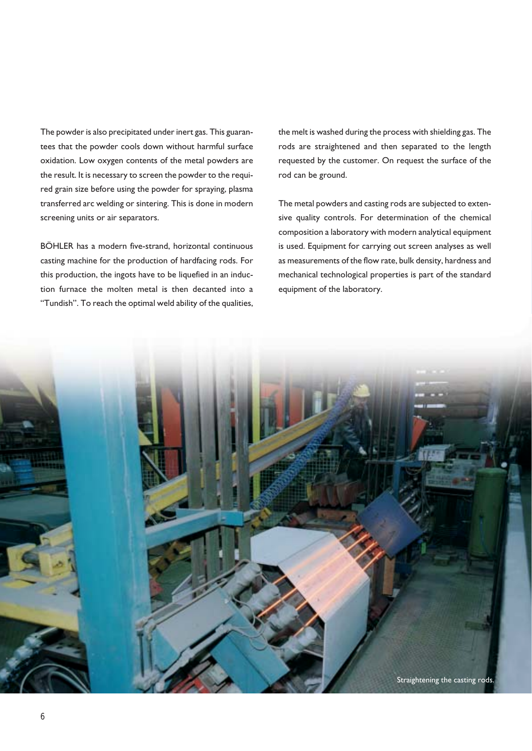The powder is also precipitated under inert gas. This guarantees that the powder cools down without harmful surface oxidation. Low oxygen contents of the metal powders are the result. It is necessary to screen the powder to the required grain size before using the powder for spraying, plasma transferred arc welding or sintering. This is done in modern screening units or air separators.

BÖHLER has a modern five-strand, horizontal continuous casting machine for the production of hardfacing rods. For this production, the ingots have to be liquefied in an induction furnace the molten metal is then decanted into a "Tundish". To reach the optimal weld ability of the qualities, the melt is washed during the process with shielding gas. The rods are straightened and then separated to the length requested by the customer. On request the surface of the rod can be ground.

The metal powders and casting rods are subjected to extensive quality controls. For determination of the chemical composition a laboratory with modern analytical equipment is used. Equipment for carrying out screen analyses as well as measurements of the flow rate, bulk density, hardness and mechanical technological properties is part of the standard equipment of the laboratory.

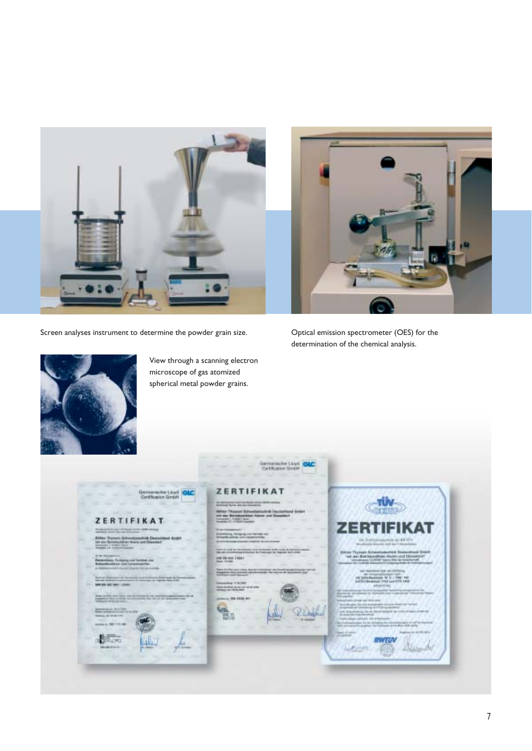

Screen analyses instrument to determine the powder grain size. <br>
Optical emission spectrometer (OES) for the



determination of the chemical analysis.



View through a scanning electron microscope of gas atomized spherical metal powder grains.

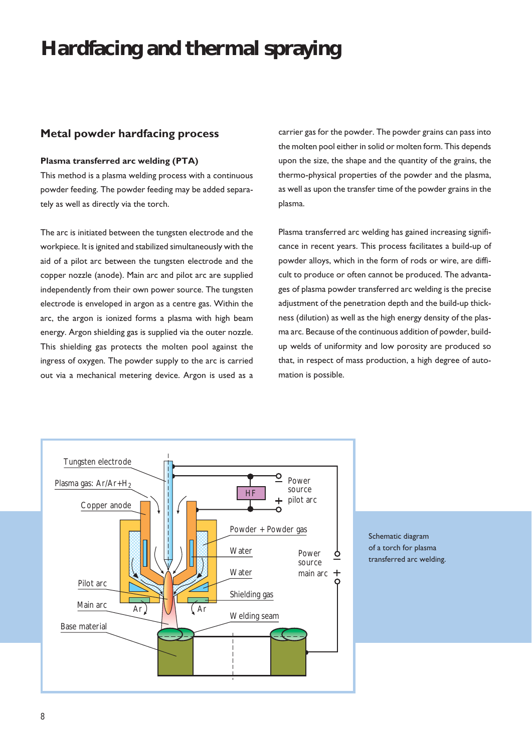### **Hardfacing and thermal spraying**

#### **Metal powder hardfacing process**

#### **Plasma transferred arc welding (PTA)**

This method is a plasma welding process with a continuous powder feeding. The powder feeding may be added separately as well as directly via the torch.

The arc is initiated between the tungsten electrode and the workpiece. It is ignited and stabilized simultaneously with the aid of a pilot arc between the tungsten electrode and the copper nozzle (anode). Main arc and pilot arc are supplied independently from their own power source. The tungsten electrode is enveloped in argon as a centre gas. Within the arc, the argon is ionized forms a plasma with high beam energy. Argon shielding gas is supplied via the outer nozzle. This shielding gas protects the molten pool against the ingress of oxygen. The powder supply to the arc is carried out via a mechanical metering device. Argon is used as a carrier gas for the powder. The powder grains can pass into the molten pool either in solid or molten form. This depends upon the size, the shape and the quantity of the grains, the thermo-physical properties of the powder and the plasma, as well as upon the transfer time of the powder grains in the plasma.

Plasma transferred arc welding has gained increasing significance in recent years. This process facilitates a build-up of powder alloys, which in the form of rods or wire, are difficult to produce or often cannot be produced. The advantages of plasma powder transferred arc welding is the precise adjustment of the penetration depth and the build-up thickness (dilution) as well as the high energy density of the plasma arc. Because of the continuous addition of powder, buildup welds of uniformity and low porosity are produced so that, in respect of mass production, a high degree of automation is possible.



Schematic diagram of a torch for plasma transferred arc welding.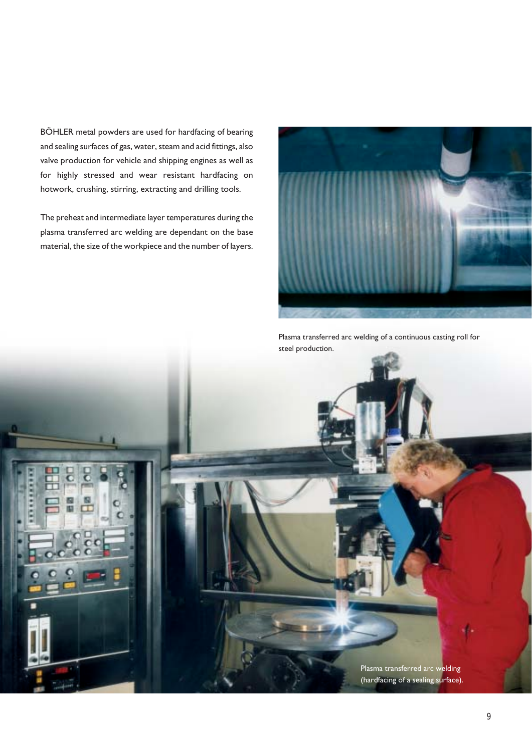BÖHLER metal powders are used for hardfacing of bearing and sealing surfaces of gas, water, steam and acid fittings, also valve production for vehicle and shipping engines as well as for highly stressed and wear resistant hardfacing on hotwork, crushing, stirring, extracting and drilling tools.

The preheat and intermediate layer temperatures during the plasma transferred arc welding are dependant on the base material, the size of the workpiece and the number of layers.



Plasma transferred arc welding of a continuous casting roll for

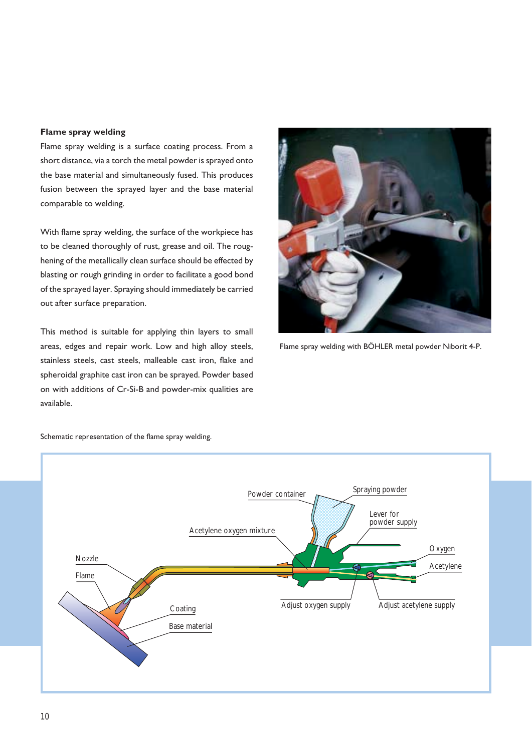#### **Flame spray welding**

Flame spray welding is a surface coating process. From a short distance, via a torch the metal powder is sprayed onto the base material and simultaneously fused. This produces fusion between the sprayed layer and the base material comparable to welding.

With flame spray welding, the surface of the workpiece has to be cleaned thoroughly of rust, grease and oil. The roughening of the metallically clean surface should be effected by blasting or rough grinding in order to facilitate a good bond of the sprayed layer. Spraying should immediately be carried out after surface preparation.

This method is suitable for applying thin layers to small areas, edges and repair work. Low and high alloy steels, stainless steels, cast steels, malleable cast iron, flake and spheroidal graphite cast iron can be sprayed. Powder based on with additions of Cr-Si-B and powder-mix qualities are available.



Flame spray welding with BÖHLER metal powder Niborit 4-P.



Schematic representation of the flame spray welding.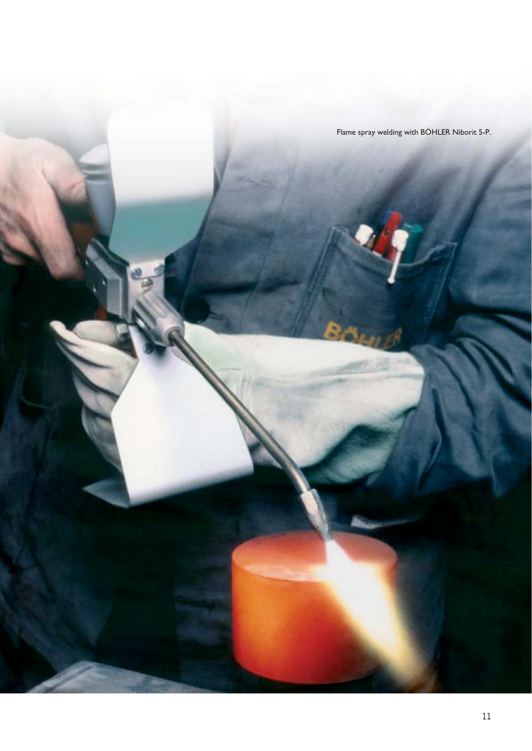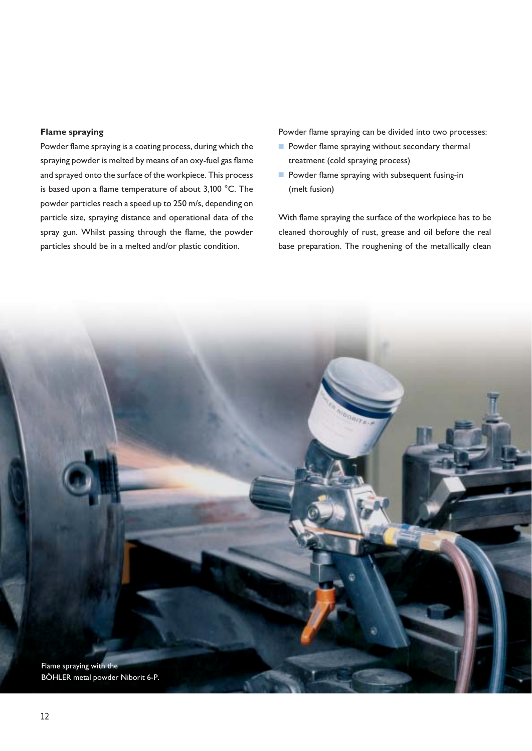#### **Flame spraying**

Powder flame spraying is a coating process, during which the spraying powder is melted by means of an oxy-fuel gas flame and sprayed onto the surface of the workpiece. This process is based upon a flame temperature of about 3,100 °C. The powder particles reach a speed up to 250 m/s, depending on particle size, spraying distance and operational data of the spray gun. Whilst passing through the flame, the powder particles should be in a melted and/or plastic condition.

Powder flame spraying can be divided into two processes:

- Powder flame spraying without secondary thermal treatment (cold spraying process)
- Powder flame spraying with subsequent fusing-in (melt fusion)

With flame spraying the surface of the workpiece has to be cleaned thoroughly of rust, grease and oil before the real base preparation. The roughening of the metallically clean

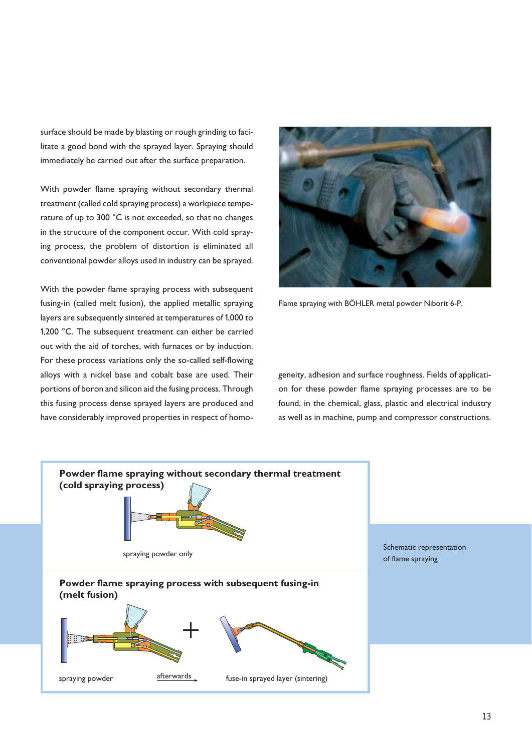surface should be made by blasting or rough grinding to facilitate a good bond with the sprayed layer. Spraying should immediately be carried out after the surface preparation.

With powder flame spraying without secondary thermal treatment (called cold spraying process) a workpiece temperature of up to 300 °C is not exceeded, so that no changes in the structure of the component occur. With cold spraying process, the problem of distortion is eliminated all conventional powder alloys used in industry can be sprayed.

With the powder flame spraying process with subsequent fusing-in (called melt fusion), the applied metallic spraying layers are subsequently sintered at temperatures of 1,000 to 1,200 °C. The subsequent treatment can either be carried out with the aid of torches, with furnaces or by induction. For these process variations only the so-called self-flowing alloys with a nickel base and cobalt base are used. Their portions of boron and silicon aid the fusing process. Through this fusing process dense sprayed layers are produced and have considerably improved properties in respect of homo-



Flame spraying with BÖHLER metal powder Niborit 6-P.

geneity, adhesion and surface roughness. Fields of application for these powder flame spraying processes are to be found, in the chemical, glass, plastic and electrical industry as well as in machine, pump and compressor constructions.

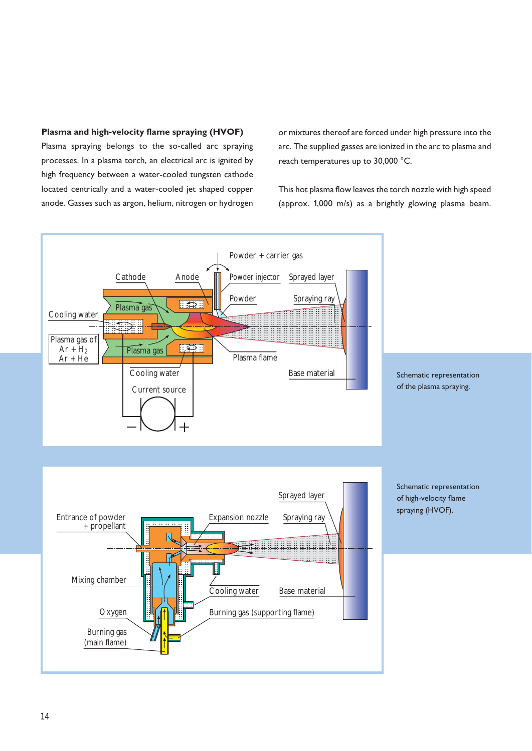#### **Plasma and high-velocity flame spraying (HVOF)**

Plasma spraying belongs to the so-called arc spraying processes. In a plasma torch, an electrical arc is ignited by high frequency between a water-cooled tungsten cathode located centrically and a water-cooled jet shaped copper anode. Gasses such as argon, helium, nitrogen or hydrogen

or mixtures thereof are forced under high pressure into the arc. The supplied gasses are ionized in the arc to plasma and reach temperatures up to 30,000 °C.

This hot plasma flow leaves the torch nozzle with high speed (approx. 1,000 m/s) as a brightly glowing plasma beam.

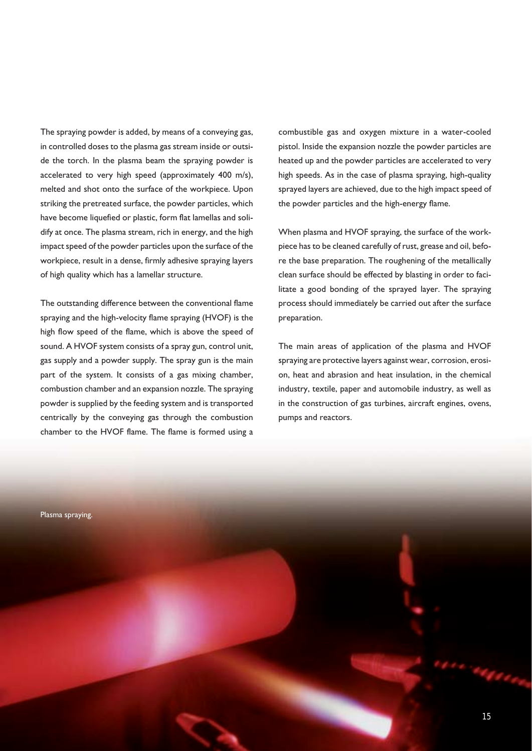The spraying powder is added, by means of a conveying gas, in controlled doses to the plasma gas stream inside or outside the torch. In the plasma beam the spraying powder is accelerated to very high speed (approximately 400 m/s), melted and shot onto the surface of the workpiece. Upon striking the pretreated surface, the powder particles, which have become liquefied or plastic, form flat lamellas and solidify at once. The plasma stream, rich in energy, and the high impact speed of the powder particles upon the surface of the workpiece, result in a dense, firmly adhesive spraying layers of high quality which has a lamellar structure.

The outstanding difference between the conventional flame spraying and the high-velocity flame spraying (HVOF) is the high flow speed of the flame, which is above the speed of sound. A HVOF system consists of a spray gun, control unit, gas supply and a powder supply. The spray gun is the main part of the system. It consists of a gas mixing chamber, combustion chamber and an expansion nozzle. The spraying powder is supplied by the feeding system and is transported centrically by the conveying gas through the combustion chamber to the HVOF flame. The flame is formed using a combustible gas and oxygen mixture in a water-cooled pistol. Inside the expansion nozzle the powder particles are heated up and the powder particles are accelerated to very high speeds. As in the case of plasma spraying, high-quality sprayed layers are achieved, due to the high impact speed of the powder particles and the high-energy flame.

When plasma and HVOF spraying, the surface of the workpiece has to be cleaned carefully of rust, grease and oil, before the base preparation. The roughening of the metallically clean surface should be effected by blasting in order to facilitate a good bonding of the sprayed layer. The spraying process should immediately be carried out after the surface preparation.

The main areas of application of the plasma and HVOF spraying are protective layers against wear, corrosion, erosion, heat and abrasion and heat insulation, in the chemical industry, textile, paper and automobile industry, as well as in the construction of gas turbines, aircraft engines, ovens, pumps and reactors.

Plasma spraying.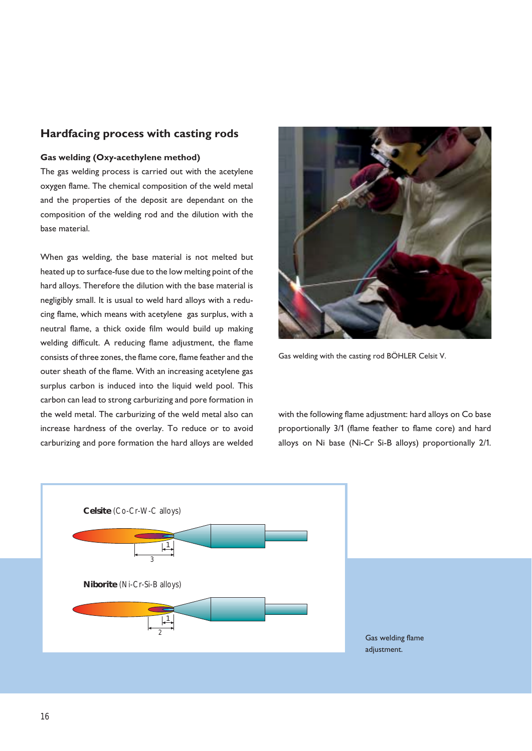#### **Hardfacing process with casting rods**

#### **Gas welding (Oxy-acethylene method)**

The gas welding process is carried out with the acetylene oxygen flame. The chemical composition of the weld metal and the properties of the deposit are dependant on the composition of the welding rod and the dilution with the base material.

When gas welding, the base material is not melted but heated up to surface-fuse due to the low melting point of the hard alloys. Therefore the dilution with the base material is negligibly small. It is usual to weld hard alloys with a reducing flame, which means with acetylene gas surplus, with a neutral flame, a thick oxide film would build up making welding difficult. A reducing flame adjustment, the flame consists of three zones, the flame core, flame feather and the outer sheath of the flame. With an increasing acetylene gas surplus carbon is induced into the liquid weld pool. This carbon can lead to strong carburizing and pore formation in the weld metal. The carburizing of the weld metal also can increase hardness of the overlay. To reduce or to avoid carburizing and pore formation the hard alloys are welded



Gas welding with the casting rod BÖHLER Celsit V.

with the following flame adjustment: hard alloys on Co base proportionally 3/1 (flame feather to flame core) and hard alloys on Ni base (Ni-Cr Si-B alloys) proportionally 2/1.



Gas welding flame adjustment.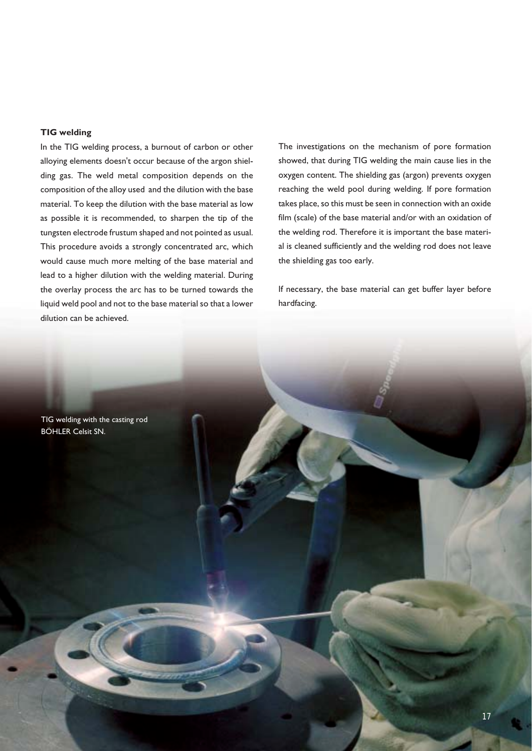#### **TIG welding**

In the TIG welding process, a burnout of carbon or other alloying elements doesn't occur because of the argon shielding gas. The weld metal composition depends on the composition of the alloy used and the dilution with the base material. To keep the dilution with the base material as low as possible it is recommended, to sharpen the tip of the tungsten electrode frustum shaped and not pointed as usual. This procedure avoids a strongly concentrated arc, which would cause much more melting of the base material and lead to a higher dilution with the welding material. During the overlay process the arc has to be turned towards the liquid weld pool and not to the base material so that a lower dilution can be achieved.

The investigations on the mechanism of pore formation showed, that during TIG welding the main cause lies in the oxygen content. The shielding gas (argon) prevents oxygen reaching the weld pool during welding. If pore formation takes place, so this must be seen in connection with an oxide film (scale) of the base material and/or with an oxidation of the welding rod. Therefore it is important the base material is cleaned sufficiently and the welding rod does not leave the shielding gas too early.

If necessary, the base material can get buffer layer before hardfacing.

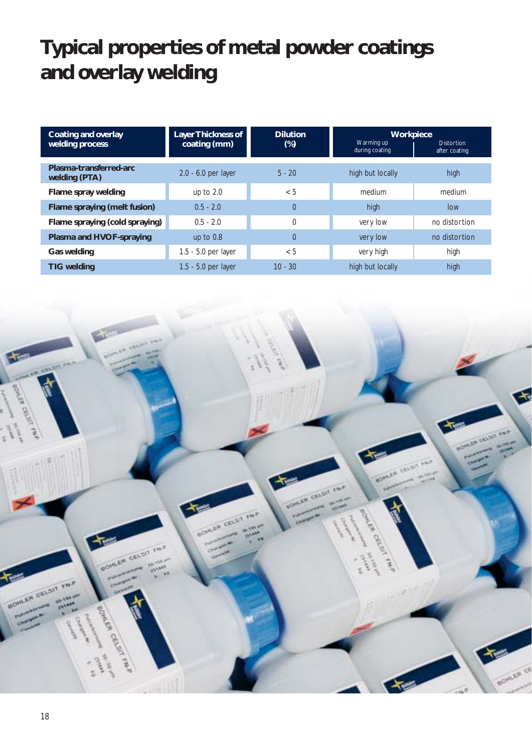# **Typical properties of metal powder coatings and overlay welding**

| Coating and overlay<br>welding process  | <b>Layer Thickness of</b><br>coating (mm) | <b>Dilution</b><br>$(\%)$ | <b>Workpiece</b><br>Warming up<br>during coating | Distortion<br>after coating |
|-----------------------------------------|-------------------------------------------|---------------------------|--------------------------------------------------|-----------------------------|
| Plasma-transferred-arc<br>welding (PTA) | 2.0 - 6.0 per layer                       | $5 - 20$                  | high but locally                                 | high                        |
| Flame spray welding                     | up to $2.0$                               | < 5                       | medium                                           | medium                      |
| Flame spraying (melt fusion)            | $0.5 - 2.0$                               | $\Omega$                  | high                                             | low                         |
| Flame spraying (cold spraying)          | $0.5 - 2.0$                               | $\mathbf{0}$              | very low                                         | no distortion               |
| Plasma and HVOF-spraying                | up to $0.8$                               | 0                         | very low                                         | no distortion               |
| <b>Gas welding</b>                      | 1.5 - 5.0 per layer                       | < 5                       | very high                                        | high                        |
| <b>TIG welding</b>                      | 1.5 - 5.0 per layer                       | $10 - 30$                 | high but locally                                 | high                        |

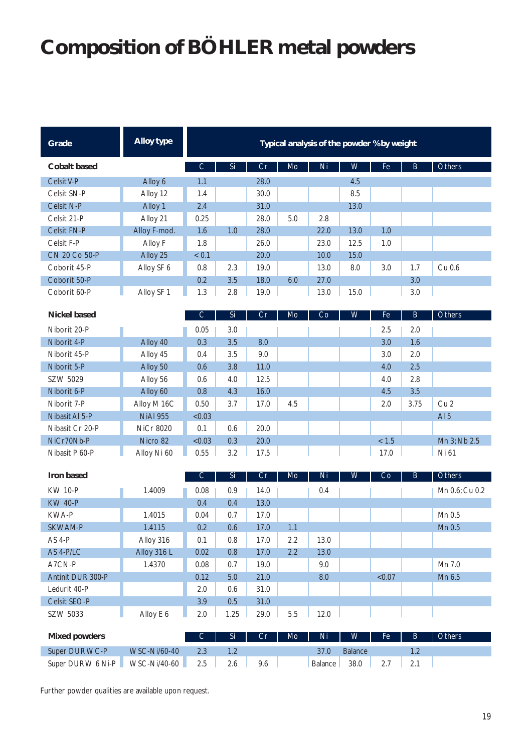# **Composition of BÖHLER metal powders**

| Grade              | Alloy type   | Typical analysis of the powder % by weight |     |      |     |      |      |                |     |        |
|--------------------|--------------|--------------------------------------------|-----|------|-----|------|------|----------------|-----|--------|
| Cobalt based       |              | С                                          | Si  | Cr   | Mo  | Ni   | W    | Fe <sup></sup> | B.  | Others |
| Celsit V-P         | Alloy 6      | 1.1                                        |     | 28.0 |     |      | 4.5  |                |     |        |
| Celsit SN-P        | Alloy 12     | 1.4                                        |     | 30.0 |     |      | 8.5  |                |     |        |
| Celsit N-P         | Alloy 1      | 2.4                                        |     | 31.0 |     |      | 13.0 |                |     |        |
| Celsit 21-P        | Alloy 21     | 0.25                                       |     | 28.0 | 5.0 | 2.8  |      |                |     |        |
| <b>Celsit FN-P</b> | Alloy F-mod. | 1.6                                        | 1.0 | 28.0 |     | 22.0 | 13.0 | 1.0            |     |        |
| Celsit F-P         | Alloy F      | 1.8                                        |     | 26.0 |     | 23.0 | 12.5 | 1.0            |     |        |
| CN 20 Co 50-P      | Alloy 25     | < 0.1                                      |     | 20.0 |     | 10.0 | 15.0 |                |     |        |
| Coborit 45-P       | Alloy SF 6   | 0.8                                        | 2.3 | 19.0 |     | 13.0 | 8.0  | 3.0            | 1.7 | Cu 0.6 |
| Coborit 50-P       |              | 0.2                                        | 3.5 | 18.0 | 6.0 | 27.0 |      |                | 3.0 |        |
| Coborit 60-P       | Alloy SF 1   | 1.3                                        | 2.8 | 19.0 |     | 13.0 | 15.0 |                | 3.0 |        |

| <b>Nickel based</b> |                 | $\mathsf{C}$ | Si  | <b>Cr</b> | Mo  | Co | W | Fe    | B    | <b>Others</b>   |
|---------------------|-----------------|--------------|-----|-----------|-----|----|---|-------|------|-----------------|
| Niborit 20-P        |                 | 0.05         | 3.0 |           |     |    |   | 2.5   | 2.0  |                 |
| Niborit 4-P         | Alloy 40        | 0.3          | 3.5 | 8.0       |     |    |   | 3.0   | 1.6  |                 |
| Niborit 45-P        | Alloy 45        | 0.4          | 3.5 | 9.0       |     |    |   | 3.0   | 2.0  |                 |
| Niborit 5-P         | Alloy 50        | 0.6          | 3.8 | 11.0      |     |    |   | 4.0   | 2.5  |                 |
| SZW 5029            | Alloy 56        | 0.6          | 4.0 | 12.5      |     |    |   | 4.0   | 2.8  |                 |
| Niborit 6-P         | Alloy 60        | 0.8          | 4.3 | 16.0      |     |    |   | 4.5   | 3.5  |                 |
| Niborit 7-P         | Alloy M 16C     | 0.50         | 3.7 | 17.0      | 4.5 |    |   | 2.0   | 3.75 | Cu <sub>2</sub> |
| Nibasit AI 5-P      | <b>NiAl 955</b> | < 0.03       |     |           |     |    |   |       |      | AI $5$          |
| Nibasit Cr 20-P     | NiCr 8020       | 0.1          | 0.6 | 20.0      |     |    |   |       |      |                 |
| NiCr70Nb-P          | Nicro 82        | < 0.03       | 0.3 | 20.0      |     |    |   | < 1.5 |      | Mn 3; Nb 2.5    |
| Nibasit P 60-P      | Alloy Ni 60     | 0.55         | 3.2 | 17.5      |     |    |   | 17.0  |      | Ni 61           |

| <b>Iron based</b> |             | $\mathsf{C}$ | Si   | Cr   | Mo  | Ni   | W | Co     | B. | <b>Others</b>  |
|-------------------|-------------|--------------|------|------|-----|------|---|--------|----|----------------|
| <b>KW 10-P</b>    | 1.4009      | 0.08         | 0.9  | 14.0 |     | 0.4  |   |        |    | Mn 0.6; Cu 0.2 |
| <b>KW 40-P</b>    |             | 0.4          | 0.4  | 13.0 |     |      |   |        |    |                |
| KWA-P             | 1.4015      | 0.04         | 0.7  | 17.0 |     |      |   |        |    | Mn 0.5         |
| <b>SKWAM-P</b>    | 1.4115      | 0.2          | 0.6  | 17.0 | 1.1 |      |   |        |    | $Mn$ 0.5       |
| AS 4-P            | Alloy 316   | 0.1          | 0.8  | 17.0 | 2.2 | 13.0 |   |        |    |                |
| AS 4-P/LC         | Alloy 316 L | 0.02         | 0.8  | 17.0 | 2.2 | 13.0 |   |        |    |                |
| A7CN-P            | 1.4370      | 0.08         | 0.7  | 19.0 |     | 9.0  |   |        |    | Mn 7.0         |
| Antinit DUR 300-P |             | 0.12         | 5.0  | 21.0 |     | 8.0  |   | < 0.07 |    | Mn 6.5         |
| Ledurit 40-P      |             | 2.0          | 0.6  | 31.0 |     |      |   |        |    |                |
| Celsit SEO-P      |             | 3.9          | 0.5  | 31.0 |     |      |   |        |    |                |
| SZW 5033          | Alloy E 6   | 2.0          | 1.25 | 29.0 | 5.5 | 12.0 |   |        |    |                |

| Mixed powders     |                     |    | <b>Si</b> | $Cr$ | $Mo$ $\parallel$ | Ni <sub>1</sub> | WIN            | $Fe$ $\Box$ | . B' | <b>Others</b> |
|-------------------|---------------------|----|-----------|------|------------------|-----------------|----------------|-------------|------|---------------|
| Super DUR WC-P    | <b>WSC-Ni/60-40</b> |    |           |      |                  |                 | <b>Balance</b> |             |      |               |
| Super DURW 6 Ni-P | WSC-Ni/40-60        | 25 | 2.6       | 9.6  |                  | Balance         | 38.0           |             |      |               |

Further powder qualities are available upon request.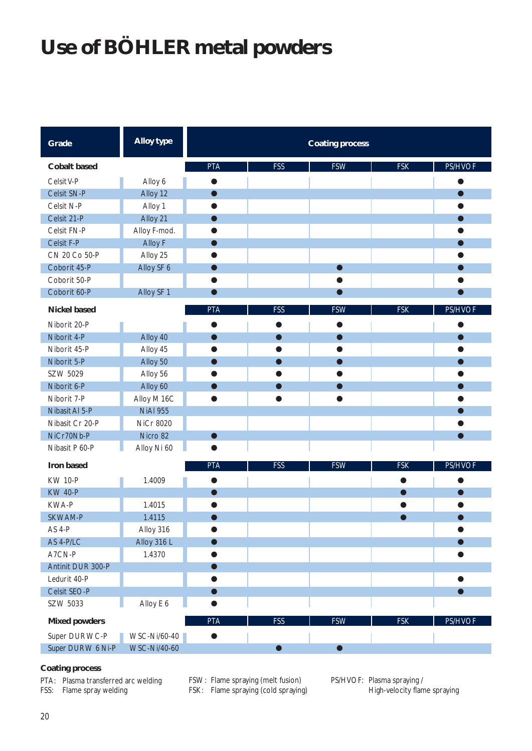# **Use of BÖHLER metal powders**

| Grade                | <b>Alloy type</b> |            |            | <b>Coating process</b> |            |           |
|----------------------|-------------------|------------|------------|------------------------|------------|-----------|
| <b>Cobalt based</b>  |                   | <b>PTA</b> | <b>FSS</b> | <b>FSW</b>             | <b>FSK</b> | PS/HVOF   |
| Celsit V-P           | Alloy 6           | $\bullet$  |            |                        |            |           |
| Celsit SN-P          | Alloy 12          | $\bullet$  |            |                        |            | $\bullet$ |
| Celsit N-P           | Alloy 1           |            |            |                        |            |           |
| Celsit 21-P          | Alloy 21          |            |            |                        |            |           |
| Celsit FN-P          | Alloy F-mod.      |            |            |                        |            |           |
| Celsit F-P           | Alloy F           |            |            |                        |            |           |
| CN 20 Co 50-P        | Alloy 25          |            |            |                        |            |           |
| Coborit 45-P         | Alloy SF 6        |            |            | $\bullet$              |            |           |
| Coborit 50-P         |                   |            |            | e                      |            |           |
| Coborit 60-P         | Alloy SF 1        | $\bullet$  |            | $\bullet$              |            | $\bullet$ |
| <b>Nickel based</b>  |                   | <b>PTA</b> | <b>FSS</b> | <b>FSW</b>             | <b>FSK</b> | PS/HVOF   |
| Niborit 20-P         |                   |            |            |                        |            |           |
| Niborit 4-P          | Alloy 40          |            | ●          | ●                      |            | $\bullet$ |
| Niborit 45-P         | Alloy 45          |            | ●          | $\bullet$              |            | O         |
| Niborit 5-P          | Alloy 50          |            | $\bullet$  | $\bullet$              |            | $\bullet$ |
| SZW 5029             | Alloy 56          |            |            |                        |            |           |
| Niborit 6-P          | Alloy 60          |            | $\bullet$  | $\bullet$              |            | $\bullet$ |
| Niborit 7-P          | Alloy M 16C       |            |            |                        |            |           |
| Nibasit Al 5-P       | <b>NiAl 955</b>   |            |            |                        |            |           |
| Nibasit Cr 20-P      | <b>NiCr 8020</b>  |            |            |                        |            |           |
| NiCr70Nb-P           | Nicro 82          | ●          |            |                        |            | $\bullet$ |
| Nibasit P 60-P       | Alloy Ni 60       |            |            |                        |            |           |
| Iron based           |                   | <b>PTA</b> | <b>FSS</b> | <b>FSW</b>             | <b>FSK</b> | PS/HVOF   |
| <b>KW 10-P</b>       | 1.4009            |            |            |                        |            |           |
| <b>KW 40-P</b>       |                   |            |            |                        |            | $\bullet$ |
| KWA-P                | 1.4015            |            |            |                        |            |           |
| SKWAM-P              | 1.4115            |            |            |                        |            | $\bullet$ |
| AS 4-P               | Alloy 316         |            |            |                        |            |           |
| AS 4-P/LC            | Alloy 316 L       |            |            |                        |            | $\bullet$ |
| A7CN-P               | 1.4370            |            |            |                        |            |           |
| Antinit DUR 300-P    |                   |            |            |                        |            |           |
| Ledurit 40-P         |                   |            |            |                        |            | $\bullet$ |
| Celsit SEO-P         |                   |            |            |                        |            | $\bullet$ |
| SZW 5033             | Alloy E 6         |            |            |                        |            |           |
| <b>Mixed powders</b> |                   | <b>PTA</b> | <b>FSS</b> | <b>FSW</b>             | <b>FSK</b> | PS/HVOF   |
| Super DUR WC-P       | WSC-Ni/60-40      |            |            |                        |            |           |
| Super DURW 6 Ni-P    | WSC-Ni/40-60      |            | $\bullet$  | $\bullet$              |            |           |

#### **Coating process**

PTA: Plasma transferred arc welding FSS: Flame spray welding

FSW: Flame spraying (melt fusion) FSK: Flame spraying (cold spraying) PS/HVOF: Plasma spraying / High-velocity flame spraying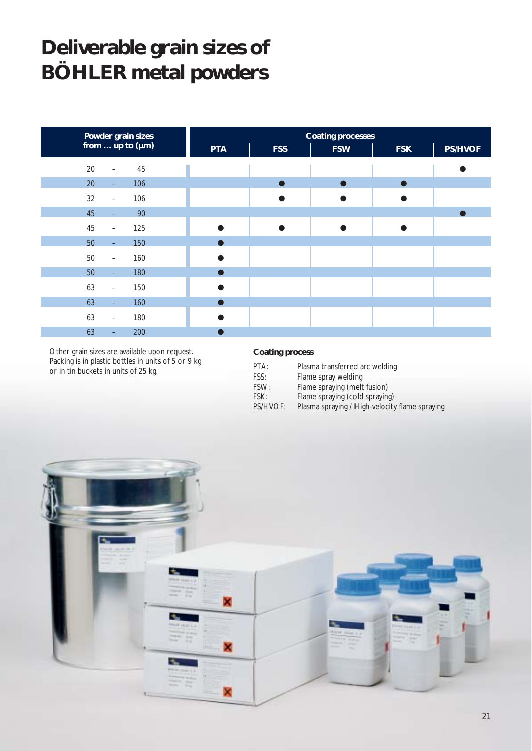### **Deliverable grain sizes of BÖHLER metal powders**

| Powder grain sizes                        |            | <b>Coating processes</b> |            |            |                |  |  |  |  |  |
|-------------------------------------------|------------|--------------------------|------------|------------|----------------|--|--|--|--|--|
| from  up to $(\mu m)$                     | <b>PTA</b> | <b>FSS</b>               | <b>FSW</b> | <b>FSK</b> | <b>PS/HVOF</b> |  |  |  |  |  |
| 20<br>45<br>$\overline{\phantom{m}}$      |            |                          |            |            |                |  |  |  |  |  |
| 20<br>106<br>$\equiv$                     |            |                          |            |            |                |  |  |  |  |  |
| 106<br>32<br>$\qquad \qquad -$            |            |                          |            |            |                |  |  |  |  |  |
| 45<br>90<br>-                             |            |                          |            |            |                |  |  |  |  |  |
| 45<br>125<br>$\overline{\phantom{0}}$     |            |                          |            |            |                |  |  |  |  |  |
| 50<br>150<br>$\equiv$                     |            |                          |            |            |                |  |  |  |  |  |
| $50\,$<br>160<br>$\overline{\phantom{0}}$ |            |                          |            |            |                |  |  |  |  |  |
| 50<br>180<br>$\equiv$                     |            |                          |            |            |                |  |  |  |  |  |
| 63<br>150<br>$\overline{\phantom{0}}$     |            |                          |            |            |                |  |  |  |  |  |
| 63<br>160<br>$\equiv$                     |            |                          |            |            |                |  |  |  |  |  |
| 63<br>180<br>-                            |            |                          |            |            |                |  |  |  |  |  |
| 63<br>200<br>-                            |            |                          |            |            |                |  |  |  |  |  |

Other grain sizes are available upon request. Packing is in plastic bottles in units of 5 or 9 kg or in tin buckets in units of 25 kg.

#### **Coating process**

| PTA:     | Plasma transferred arc welding                 |
|----------|------------------------------------------------|
| FSS:     | Flame spray welding                            |
| FSW:     | Flame spraying (melt fusion)                   |
| FSK:     | Flame spraying (cold spraying)                 |
| PS/HVOF: | Plasma spraying / High-velocity flame spraying |

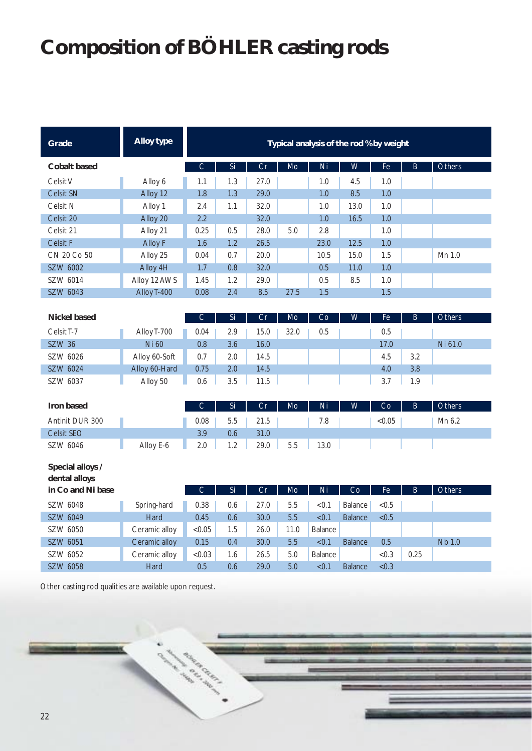# **Composition of BÖHLER casting rods**

| Grade                             | <b>Alloy type</b> | Typical analysis of the rod % by weight |     |      |      |                |                |        |         |               |
|-----------------------------------|-------------------|-----------------------------------------|-----|------|------|----------------|----------------|--------|---------|---------------|
| <b>Cobalt based</b>               |                   | $\mathsf C$                             | Si  | Cr   | Mo   | Ni             | W              | Fe     | $\sf B$ | Others        |
| Celsit V                          | Alloy 6           | 1.1                                     | 1.3 | 27.0 |      | 1.0            | 4.5            | 1.0    |         |               |
| Celsit SN                         | Alloy 12          | 1.8                                     | 1.3 | 29.0 |      | 1.0            | 8.5            | 1.0    |         |               |
| Celsit N                          | Alloy 1           | 2.4                                     | 1.1 | 32.0 |      | 1.0            | 13.0           | 1.0    |         |               |
| Celsit 20                         | Alloy 20          | 2.2                                     |     | 32.0 |      | 1.0            | 16.5           | 1.0    |         |               |
| Celsit 21                         | Alloy 21          | 0.25                                    | 0.5 | 28.0 | 5.0  | 2.8            |                | 1.0    |         |               |
| <b>Celsit F</b>                   | <b>Alloy F</b>    | 1.6                                     | 1.2 | 26.5 |      | 23.0           | 12.5           | 1.0    |         |               |
| CN 20 Co 50                       | Alloy 25          | 0.04                                    | 0.7 | 20.0 |      | 10.5           | 15.0           | 1.5    |         | Mn 1.0        |
| SZW 6002                          | Alloy 4H          | 1.7                                     | 0.8 | 32.0 |      | 0.5            | 11.0           | 1.0    |         |               |
| SZW 6014                          | Alloy 12 AWS      | 1.45                                    | 1.2 | 29.0 |      | 0.5            | 8.5            | 1.0    |         |               |
| SZW 6043                          | Alloy T-400       | 0.08                                    | 2.4 | 8.5  | 27.5 | 1.5            |                | 1.5    |         |               |
|                                   |                   |                                         |     |      |      |                |                |        |         |               |
| <b>Nickel based</b>               |                   | C                                       | Si  | Cr   | Mo   | Co             | W              | Fe     | B       | Others        |
| Celsit T-7                        | Alloy T-700       | 0.04                                    | 2.9 | 15.0 | 32.0 | 0.5            |                | 0.5    |         |               |
| <b>SZW 36</b>                     | <b>Ni 60</b>      | 0.8                                     | 3.6 | 16.0 |      |                |                | 17.0   |         | Ni 61.0       |
| SZW 6026                          | Alloy 60-Soft     | 0.7                                     | 2.0 | 14.5 |      |                |                | 4.5    | 3.2     |               |
| SZW 6024                          | Alloy 60-Hard     | 0.75                                    | 2.0 | 14.5 |      |                |                | 4.0    | 3.8     |               |
| SZW 6037                          | Alloy 50          | 0.6                                     | 3.5 | 11.5 |      |                |                | 3.7    | 1.9     |               |
|                                   |                   |                                         |     |      |      |                |                |        |         |               |
| <b>Iron based</b>                 |                   | C                                       | Si  | Cr   | Mo   | Ni             | W              | Co     | B       | Others        |
| Antinit DUR 300                   |                   | 0.08                                    | 5.5 | 21.5 |      | 7.8            |                | < 0.05 |         | Mn 6.2        |
| <b>Celsit SEO</b>                 |                   | 3.9                                     | 0.6 | 31.0 |      |                |                |        |         |               |
| SZW 6046                          | Alloy E-6         | 2.0                                     | 1.2 | 29.0 | 5.5  | 13.0           |                |        |         |               |
| Special alloys /<br>dental alloys |                   |                                         |     |      |      |                |                |        |         |               |
| in Co and Ni base                 |                   | $\mathsf{C}$                            | Si  | Cr   | Mo   | Ni             | Co             | Fe     | B       | Others        |
| SZW 6048                          | Spring-hard       | 0.38                                    | 0.6 | 27.0 | 5.5  | <0.1           | <b>Balance</b> | < 0.5  |         |               |
| SZW 6049                          | <b>Hard</b>       | 0.45                                    | 0.6 | 30.0 | 5.5  | < 0.1          | <b>Balance</b> | < 0.5  |         |               |
| SZW 6050                          | Ceramic alloy     | <0.05                                   | 1.5 | 26.0 | 11.0 | <b>Balance</b> |                |        |         |               |
| SZW 6051                          | Ceramic alloy     | 0.15                                    | 0.4 | 30.0 | 5.5  | <0.1           | <b>Balance</b> | 0.5    |         | <b>Nb 1.0</b> |
| SZW 6052                          | Ceramic alloy     | <0.03                                   | 1.6 | 26.5 | 5.0  | <b>Balance</b> |                | <0.3   | 0.25    |               |
| SZW 6058                          | Hard              | 0.5                                     | 0.6 | 29.0 | 5.0  | < 0.1          | <b>Balance</b> | < 0.3  |         |               |

Other casting rod qualities are available upon request.

66.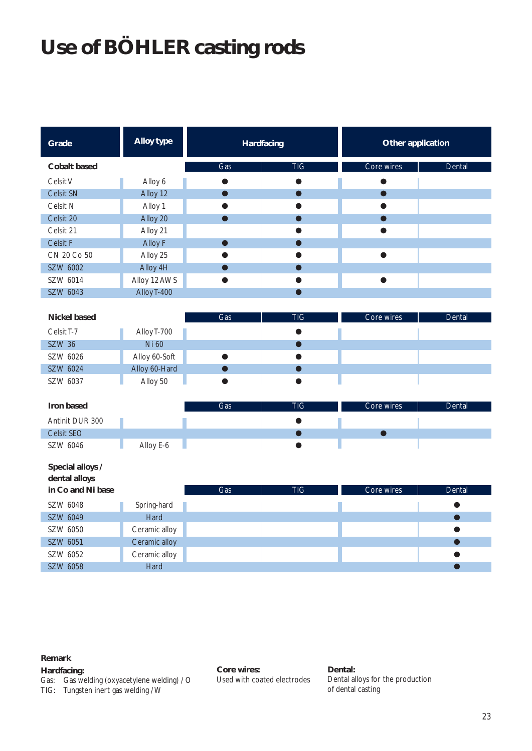# **Use of BÖHLER casting rods**

| Grade                             | <b>Alloy type</b> | Hardfacing     |            | Other application |           |  |  |
|-----------------------------------|-------------------|----------------|------------|-------------------|-----------|--|--|
| <b>Cobalt based</b>               |                   | Gas            | <b>TIG</b> | Core wires        | Dental    |  |  |
| Celsit V                          | Alloy 6           | $\bullet$      | $\bullet$  | ●                 |           |  |  |
| Celsit SN                         | Alloy 12          | $\bullet$      | $\bullet$  |                   |           |  |  |
| Celsit N                          | Alloy 1           | O              |            |                   |           |  |  |
| Celsit 20                         | Alloy 20          | $\bullet$      |            |                   |           |  |  |
| Celsit 21                         | Alloy 21          |                |            |                   |           |  |  |
| Celsit F                          | Alloy F           | n              |            |                   |           |  |  |
| CN 20 Co 50                       | Alloy 25          |                |            |                   |           |  |  |
| SZW 6002                          | Alloy 4H          | $\blacksquare$ |            |                   |           |  |  |
| SZW 6014                          | Alloy 12 AWS      |                |            | ●                 |           |  |  |
| SZW 6043                          | Alloy T-400       |                | $\bullet$  |                   |           |  |  |
| <b>Nickel based</b>               |                   | Gas            | <b>TIG</b> | Core wires        | Dental    |  |  |
| Celsit <sub>T-7</sub>             | Alloy T-700       |                |            |                   |           |  |  |
| <b>SZW 36</b>                     | Ni 60             |                | $\bullet$  |                   |           |  |  |
| SZW 6026                          | Alloy 60-Soft     | $\bullet$      |            |                   |           |  |  |
| SZW 6024                          | Alloy 60-Hard     | $\bullet$      |            |                   |           |  |  |
| SZW 6037                          | Alloy 50          | $\bullet$      |            |                   |           |  |  |
| Iron based                        |                   | Gas            | <b>TIG</b> | Core wires        | Dental    |  |  |
| Antinit DUR 300                   |                   |                |            |                   |           |  |  |
| <b>Celsit SEO</b>                 |                   |                | Œ          | ◠                 |           |  |  |
| SZW 6046                          | Alloy E-6         |                |            |                   |           |  |  |
| Special alloys /<br>dental alloys |                   |                |            |                   |           |  |  |
| in Co and Ni base                 |                   | Gas            | <b>TIG</b> | Core wires        | Dental    |  |  |
| SZW 6048                          | Spring-hard       |                |            |                   |           |  |  |
| SZW 6049                          | Hard              |                |            |                   | $\bullet$ |  |  |
| SZW 6050                          | Ceramic alloy     |                |            |                   |           |  |  |
| SZW 6051                          | Ceramic alloy     |                |            |                   |           |  |  |
| SZW 6052                          | Ceramic alloy     |                |            |                   |           |  |  |
| SZW 6058                          | Hard              |                |            |                   |           |  |  |

**Remark**

#### **Hardfacing:**

Gas: Gas welding (oxyacetylene welding) / O TIG: Tungsten inert gas welding / W

**Core wires:** Used with coated electrodes **Dental:** Dental alloys for the production of dental casting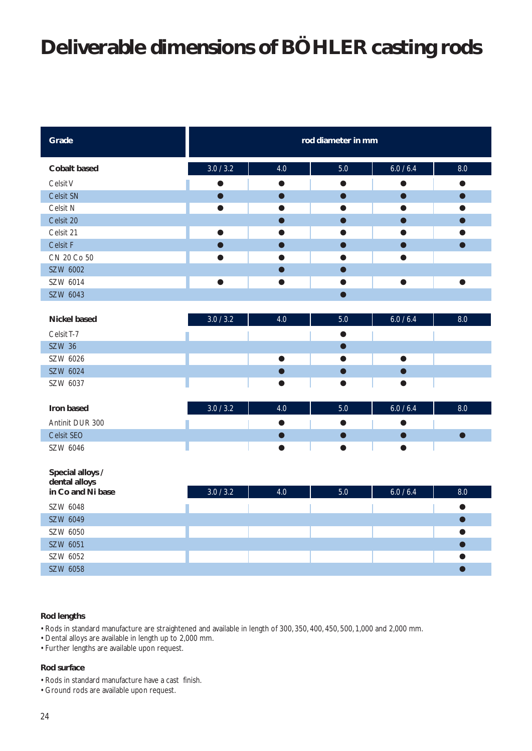## **Deliverable dimensions of BÖHLER casting rods**

| Grade                             |           |                              | rod diameter in mm |           |           |
|-----------------------------------|-----------|------------------------------|--------------------|-----------|-----------|
| <b>Cobalt based</b>               | 3.0 / 3.2 | 4.0                          | 5.0                | 6.0 / 6.4 | 8.0       |
| Celsit V                          |           | ▲                            | ●                  |           |           |
| Celsit SN                         |           |                              | ∍                  |           |           |
| Celsit N                          |           |                              |                    |           |           |
| Celsit 20                         |           |                              |                    |           |           |
| Celsit 21                         | $\bullet$ |                              | ●                  | ●         |           |
| Celsit F                          | $\bullet$ | $\qquad \qquad \blacksquare$ | $\bullet$          | $\bullet$ | ●         |
| CN 20 Co 50                       | ●         |                              |                    |           |           |
| SZW 6002                          |           |                              | $\bullet$          |           |           |
| SZW 6014                          | $\bullet$ | ●                            | ●                  | $\bullet$ | $\bullet$ |
| SZW 6043                          |           |                              | $\bullet$          |           |           |
|                                   |           |                              |                    |           |           |
| <b>Nickel based</b>               | 3.0 / 3.2 | 4.0                          | 5.0                | 6.0 / 6.4 | 8.0       |
| Celsit T-7                        |           |                              | $\bullet$          |           |           |
| <b>SZW 36</b>                     |           |                              | $\bullet$          |           |           |
| SZW 6026                          |           |                              |                    |           |           |
| SZW 6024                          |           |                              |                    |           |           |
| SZW 6037                          |           |                              | Q                  |           |           |
|                                   |           |                              |                    |           |           |
| Iron based                        | 3.0 / 3.2 | $4.0$                        | 5.0                | 6.0 / 6.4 | 8.0       |
| Antinit DUR 300                   |           |                              |                    |           |           |
| Celsit SEO                        |           |                              |                    |           |           |
| SZW 6046                          |           |                              |                    |           |           |
| Special alloys /<br>dental alloys |           |                              |                    |           |           |
| in Co and Ni base                 | 3.0 / 3.2 | 4.0                          | 5.0                | 6.0 / 6.4 | 8.0       |
| SZW 6048                          |           |                              |                    |           | $\bullet$ |
| SZW 6049                          |           |                              |                    |           | $\bullet$ |
| SZW 6050                          |           |                              |                    |           |           |
| SZW 6051                          |           |                              |                    |           |           |
| SZW 6052                          |           |                              |                    |           |           |

#### **Rod lengths**

• Rods in standard manufacture are straightened and available in length of 300, 350, 400, 450, 500, 1,000 and 2,000 mm.

SZW 6058 ●

- Dental alloys are available in length up to 2,000 mm.
- Further lengths are available upon request.

#### **Rod surface**

- Rods in standard manufacture have a cast finish.
- Ground rods are available upon request.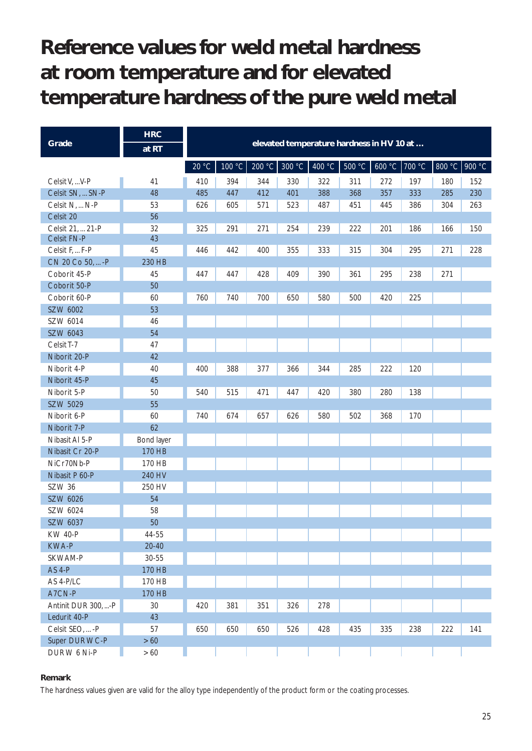## **Reference values for weld metal hardness at room temperature and for elevated temperature hardness of the pure weld metal**

|                     | <b>HRC</b> |       |                                           |     |                 |        |        |               |     |     |               |
|---------------------|------------|-------|-------------------------------------------|-----|-----------------|--------|--------|---------------|-----|-----|---------------|
| Grade               | at RT      |       | elevated temperature hardness in HV 10 at |     |                 |        |        |               |     |     |               |
|                     |            | 20 °C | 100 $^{\circ}$ C                          |     | $200 °C$ 300 °C | 400 °C | 500 °C | 600 °C 700 °C |     |     | 800 °C 900 °C |
| Celsit V,  V-P      | 41         | 410   | 394                                       | 344 | 330             | 322    | 311    | 272           | 197 | 180 | 152           |
| Celsit SN,  SN-P    | 48         | 485   | 447                                       | 412 | 401             | 388    | 368    | 357           | 333 | 285 | 230           |
| Celsit N,  N-P      | 53         | 626   | 605                                       | 571 | 523             | 487    | 451    | 445           | 386 | 304 | 263           |
| Celsit 20           | 56         |       |                                           |     |                 |        |        |               |     |     |               |
| Celsit 21,  21-P    | 32         | 325   | 291                                       | 271 | 254             | 239    | 222    | 201           | 186 | 166 | 150           |
| Celsit FN-P         | 43         |       |                                           |     |                 |        |        |               |     |     |               |
| Celsit F,  F-P      | 45         | 446   | 442                                       | 400 | 355             | 333    | 315    | 304           | 295 | 271 | 228           |
| CN 20 Co 50,  - P   | 230 HB     |       |                                           |     |                 |        |        |               |     |     |               |
| Coborit 45-P        | 45         | 447   | 447                                       | 428 | 409             | 390    | 361    | 295           | 238 | 271 |               |
| Coborit 50-P        | 50         |       |                                           |     |                 |        |        |               |     |     |               |
| Coborit 60-P        | 60         | 760   | 740                                       | 700 | 650             | 580    | 500    | 420           | 225 |     |               |
| SZW 6002            | 53         |       |                                           |     |                 |        |        |               |     |     |               |
| SZW 6014            | 46         |       |                                           |     |                 |        |        |               |     |     |               |
| SZW 6043            | 54         |       |                                           |     |                 |        |        |               |     |     |               |
| Celsit T-7          | 47         |       |                                           |     |                 |        |        |               |     |     |               |
| Niborit 20-P        | 42         |       |                                           |     |                 |        |        |               |     |     |               |
| Niborit 4-P         | 40         | 400   | 388                                       | 377 | 366             | 344    | 285    | 222           | 120 |     |               |
| Niborit 45-P        | 45         |       |                                           |     |                 |        |        |               |     |     |               |
| Niborit 5-P         | 50         | 540   | 515                                       | 471 | 447             | 420    | 380    | 280           | 138 |     |               |
| SZW 5029            | 55         |       |                                           |     |                 |        |        |               |     |     |               |
| Niborit 6-P         | 60         | 740   | 674                                       | 657 | 626             | 580    | 502    | 368           | 170 |     |               |
| Niborit 7-P         | 62         |       |                                           |     |                 |        |        |               |     |     |               |
| Nibasit Al 5-P      | Bond layer |       |                                           |     |                 |        |        |               |     |     |               |
| Nibasit Cr 20-P     | 170 HB     |       |                                           |     |                 |        |        |               |     |     |               |
| NiCr70Nb-P          | 170 HB     |       |                                           |     |                 |        |        |               |     |     |               |
| Nibasit P 60-P      | 240 HV     |       |                                           |     |                 |        |        |               |     |     |               |
| SZW 36              | 250 HV     |       |                                           |     |                 |        |        |               |     |     |               |
| SZW 6026            | 54         |       |                                           |     |                 |        |        |               |     |     |               |
| SZW 6024            | 58         |       |                                           |     |                 |        |        |               |     |     |               |
| SZW 6037            | 50         |       |                                           |     |                 |        |        |               |     |     |               |
| <b>KW 40-P</b>      | 44-55      |       |                                           |     |                 |        |        |               |     |     |               |
| KWA-P               | $20 - 40$  |       |                                           |     |                 |        |        |               |     |     |               |
| SKWAM-P             | $30 - 55$  |       |                                           |     |                 |        |        |               |     |     |               |
| <b>AS 4-P</b>       | 170 HB     |       |                                           |     |                 |        |        |               |     |     |               |
| AS 4-P/LC           | 170 HB     |       |                                           |     |                 |        |        |               |     |     |               |
| A7CN-P              | 170 HB     |       |                                           |     |                 |        |        |               |     |     |               |
| Antinit DUR 300, -P | 30         | 420   | 381                                       | 351 | 326             | 278    |        |               |     |     |               |
| Ledurit 40-P        | 43         |       |                                           |     |                 |        |        |               |     |     |               |
| Celsit SEO,  - P    | 57         | 650   | 650                                       | 650 | 526             | 428    | 435    | 335           | 238 | 222 | 141           |
| Super DUR WC-P      | $>60$      |       |                                           |     |                 |        |        |               |     |     |               |
| DURW 6 Ni-P         | $>60$      |       |                                           |     |                 |        |        |               |     |     |               |

#### **Remark**

The hardness values given are valid for the alloy type independently of the product form or the coating processes.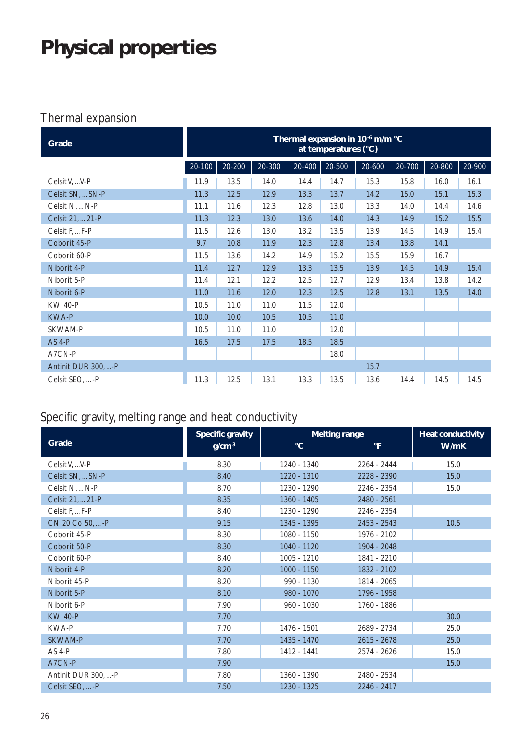# **Physical properties**

### Thermal expansion

| Grade               | Thermal expansion in 10 <sup>-6</sup> m/m °C<br>at temperatures (°C) |        |        |        |        |        |            |        |            |
|---------------------|----------------------------------------------------------------------|--------|--------|--------|--------|--------|------------|--------|------------|
|                     | $20 - 100$                                                           | 20-200 | 20-300 | 20-400 | 20-500 | 20-600 | $20 - 700$ | 20-800 | $20 - 900$ |
| Celsit V,  V-P      | 11.9                                                                 | 13.5   | 14.0   | 14.4   | 14.7   | 15.3   | 15.8       | 16.0   | 16.1       |
| Celsit SN,  SN-P    | 11.3                                                                 | 12.5   | 12.9   | 13.3   | 13.7   | 14.2   | 15.0       | 15.1   | 15.3       |
| Celsit N,  N-P      | 11.1                                                                 | 11.6   | 12.3   | 12.8   | 13.0   | 13.3   | 14.0       | 14.4   | 14.6       |
| Celsit 21,  21-P    | 11.3                                                                 | 12.3   | 13.0   | 13.6   | 14.0   | 14.3   | 14.9       | 15.2   | 15.5       |
| Celsit F F-P        | 11.5                                                                 | 12.6   | 13.0   | 13.2   | 13.5   | 13.9   | 14.5       | 14.9   | 15.4       |
| Coborit 45-P        | 9.7                                                                  | 10.8   | 11.9   | 12.3   | 12.8   | 13.4   | 13.8       | 14.1   |            |
| Coborit 60-P        | 11.5                                                                 | 13.6   | 14.2   | 14.9   | 15.2   | 15.5   | 15.9       | 16.7   |            |
| Niborit 4-P         | 11.4                                                                 | 12.7   | 12.9   | 13.3   | 13.5   | 13.9   | 14.5       | 14.9   | 15.4       |
| Niborit 5-P         | 11.4                                                                 | 12.1   | 12.2   | 12.5   | 12.7   | 12.9   | 13.4       | 13.8   | 14.2       |
| Niborit 6-P         | 11.0                                                                 | 11.6   | 12.0   | 12.3   | 12.5   | 12.8   | 13.1       | 13.5   | 14.0       |
| <b>KW 40-P</b>      | 10.5                                                                 | 11.0   | 11.0   | 11.5   | 12.0   |        |            |        |            |
| <b>KWA-P</b>        | 10.0                                                                 | 10.0   | 10.5   | 10.5   | 11.0   |        |            |        |            |
| SKWAM-P             | 10.5                                                                 | 11.0   | 11.0   |        | 12.0   |        |            |        |            |
| <b>AS 4-P</b>       | 16.5                                                                 | 17.5   | 17.5   | 18.5   | 18.5   |        |            |        |            |
| A7CN-P              |                                                                      |        |        |        | 18.0   |        |            |        |            |
| Antinit DUR 300, -P |                                                                      |        |        |        |        | 15.7   |            |        |            |
| Celsit SEO,  - P    | 11.3                                                                 | 12.5   | 13.1   | 13.3   | 13.5   | 13.6   | 14.4       | 14.5   | 14.5       |

### Specific gravity, melting range and heat conductivity

|                     | <b>Specific gravity</b> | <b>Melting range</b> | Heat conductivity |      |
|---------------------|-------------------------|----------------------|-------------------|------|
| Grade               | g/cm <sup>3</sup>       | $\rm ^{\circ}C$      | $\mathsf{P}$      | W/mK |
| Celsit V,  V-P      | 8.30                    | 1240 - 1340          | 2264 - 2444       | 15.0 |
| Celsit SN,  SN-P    | 8.40                    | 1220 - 1310          | 2228 - 2390       | 15.0 |
| Celsit N,  N-P      | 8.70                    | 1230 - 1290          | 2246 - 2354       | 15.0 |
| Celsit 21,  21-P    | 8.35                    | 1360 - 1405          | 2480 - 2561       |      |
| Celsit F.  F-P      | 8.40                    | 1230 - 1290          | 2246 - 2354       |      |
| CN 20 Co 50,  - P   | 9.15                    | 1345 - 1395          | 2453 - 2543       | 10.5 |
| Coborit 45-P        | 8.30                    | 1080 - 1150          | 1976 - 2102       |      |
| Coborit 50-P        | 8.30                    | 1040 - 1120          | 1904 - 2048       |      |
| Coborit 60-P        | 8.40                    | 1005 - 1210          | 1841 - 2210       |      |
| Niborit 4-P         | 8.20                    | 1000 - 1150          | 1832 - 2102       |      |
| Niborit 45-P        | 8.20                    | 990 - 1130           | 1814 - 2065       |      |
| Niborit 5-P         | 8.10                    | 980 - 1070           | 1796 - 1958       |      |
| Niborit 6-P         | 7.90                    | 960 - 1030           | 1760 - 1886       |      |
| <b>KW 40-P</b>      | 7.70                    |                      |                   | 30.0 |
| <b>KWA-P</b>        | 7.70                    | 1476 - 1501          | 2689 - 2734       | 25.0 |
| <b>SKWAM-P</b>      | 7.70                    | 1435 - 1470          | $2615 - 2678$     | 25.0 |
| AS 4-P              | 7.80                    | 1412 - 1441          | 2574 - 2626       | 15.0 |
| A7CN-P              | 7.90                    |                      |                   | 15.0 |
| Antinit DUR 300, -P | 7.80                    | 1360 - 1390          | 2480 - 2534       |      |
| Celsit SEO,  - P    | 7.50                    | 1230 - 1325          | 2246 - 2417       |      |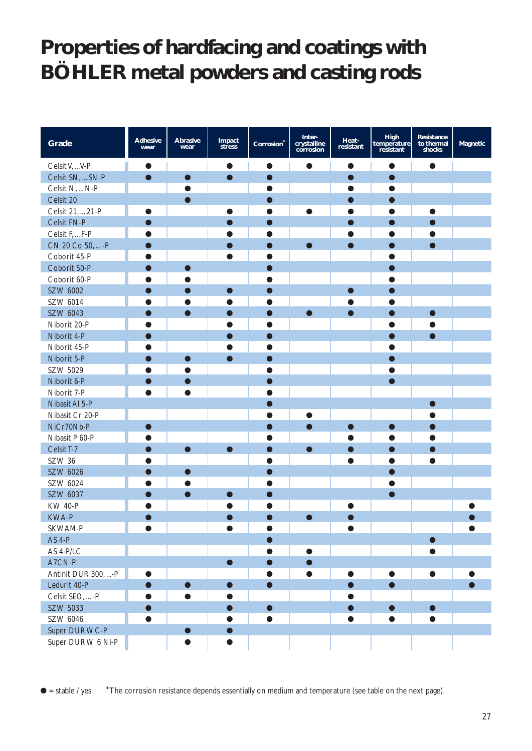## **Properties of hardfacing and coatings with BÖHLER metal powders and casting rods**

| Grade               | <b>Adhesive</b><br>wear | <b>Abrasive</b><br>wear | Impact<br>stress | Corrosion | Inter-<br>crystalline<br>corrosion | Heat-<br>resistant | High<br>temperature<br>resistant | Resistance<br>to thermal<br>shocks | Magnetic |
|---------------------|-------------------------|-------------------------|------------------|-----------|------------------------------------|--------------------|----------------------------------|------------------------------------|----------|
| Celsit V,  V-P      | $\bullet$               |                         | $\bullet$        |           | $\bullet$                          | $\bullet$          |                                  |                                    |          |
| Celsit SN,  SN-P    | $\bullet$               | $\bullet$               | $\bullet$        | $\bullet$ |                                    | $\bullet$          |                                  |                                    |          |
| Celsit N,  N-P      |                         |                         |                  |           |                                    | $\bullet$          |                                  |                                    |          |
| Celsit 20           |                         |                         |                  |           |                                    | D                  |                                  |                                    |          |
| Celsit 21,  21-P    |                         |                         | O                |           | $\bullet$                          |                    |                                  |                                    |          |
| Celsit FN-P         |                         |                         | ●                |           |                                    | $\bullet$          |                                  |                                    |          |
| Celsit F,  F-P      |                         |                         |                  |           |                                    |                    |                                  |                                    |          |
| CN 20 Co 50,  - P   |                         |                         |                  |           | $\bullet$                          | $\bullet$          |                                  |                                    |          |
| Coborit 45-P        |                         |                         | O                |           |                                    |                    |                                  |                                    |          |
| Coborit 50-P        |                         | $\bullet$               |                  |           |                                    |                    |                                  |                                    |          |
| Coborit 60-P        | ●                       |                         |                  |           |                                    |                    |                                  |                                    |          |
| SZW 6002            |                         |                         | $\bullet$        |           |                                    | $\bullet$          |                                  |                                    |          |
| SZW 6014            |                         |                         |                  |           |                                    |                    |                                  |                                    |          |
| SZW 6043            |                         | $\bullet$               | ●                |           | $\bullet$                          | $\bullet$          |                                  |                                    |          |
| Niborit 20-P        |                         |                         |                  |           |                                    |                    |                                  |                                    |          |
| Niborit 4-P         |                         |                         |                  |           |                                    |                    |                                  |                                    |          |
| Niborit 45-P        |                         |                         |                  |           |                                    |                    |                                  |                                    |          |
| Niborit 5-P         |                         | $\blacksquare$          | $\bullet$        |           |                                    |                    |                                  |                                    |          |
| SZW 5029            | ●                       |                         |                  |           |                                    |                    |                                  |                                    |          |
| Niborit 6-P         | ●                       |                         |                  |           |                                    |                    |                                  |                                    |          |
| Niborit 7-P         |                         |                         |                  |           |                                    |                    |                                  |                                    |          |
| Nibasit Al 5-P      |                         |                         |                  |           |                                    |                    |                                  |                                    |          |
| Nibasit Cr 20-P     |                         |                         |                  |           | O                                  |                    |                                  |                                    |          |
| NiCr70Nb-P          | n i                     |                         |                  |           | $\bullet$                          | $\bullet$          |                                  |                                    |          |
| Nibasit P 60-P      |                         |                         |                  |           |                                    |                    |                                  |                                    |          |
| Celsit T-7          |                         | $\bullet$               | $\bullet$        |           | $\bullet$                          | $\bullet$          |                                  |                                    |          |
| SZW 36              |                         |                         |                  |           |                                    | $\bullet$          | n                                |                                    |          |
| SZW 6026            |                         |                         |                  |           |                                    |                    |                                  |                                    |          |
| SZW 6024            |                         |                         |                  |           |                                    |                    |                                  |                                    |          |
| SZW 6037            | ●                       | $\bullet$               | $\bullet$        |           |                                    |                    |                                  |                                    |          |
| <b>KW 40-P</b>      |                         |                         |                  |           |                                    |                    |                                  |                                    |          |
| <b>KWA-P</b>        |                         |                         | $\bullet$        | O         | $\bullet$                          |                    |                                  |                                    |          |
| SKWAM-P             |                         |                         |                  |           |                                    |                    |                                  |                                    |          |
| <b>AS 4-P</b>       |                         |                         |                  |           |                                    |                    |                                  |                                    |          |
| AS 4-P/LC           |                         |                         |                  |           | $\bullet$                          |                    |                                  |                                    |          |
| A7CN-P              |                         |                         | $\bullet$        |           |                                    |                    |                                  |                                    |          |
| Antinit DUR 300, -P | $\bullet$               |                         |                  | $\bullet$ | $\bullet$                          | $\bullet$          | $\bullet$                        |                                    |          |
| Ledurit 40-P        | $\bullet$               | $\bullet$               | $\bullet$        | $\bullet$ |                                    |                    | $\bullet$                        |                                    |          |
| Celsit SEO,  - P    |                         | $\bullet$               |                  |           |                                    |                    |                                  |                                    |          |
| SZW 5033            |                         |                         | ●                | $\bullet$ |                                    | D                  |                                  |                                    |          |
| SZW 6046            |                         |                         | O                |           |                                    | $\bullet$          |                                  |                                    |          |
| Super DUR WC-P      |                         |                         |                  |           |                                    |                    |                                  |                                    |          |
| Super DUR W 6 Ni-P  |                         |                         | ●                |           |                                    |                    |                                  |                                    |          |

● = stable / yes **\***The corrosion resistance depends essentially on medium and temperature (see table on the next page).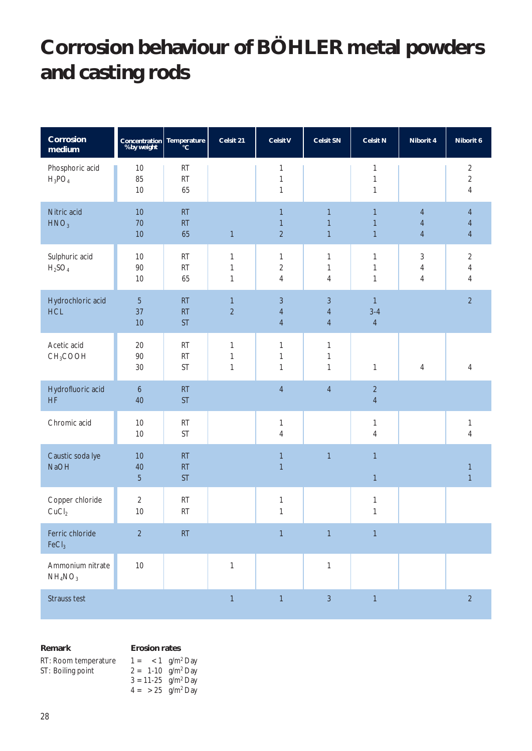# **Corrosion behaviour of BÖHLER metal powders and casting rods**

| Corrosion<br>medium                                 | Concentration Temperature<br>% by weight cc |                       | Celsit 21                                    | <b>Celsit V</b>                            | <b>Celsit SN</b>                                   | <b>Celsit N</b>                              | Niborit 4                                      | Niborit 6                                          |
|-----------------------------------------------------|---------------------------------------------|-----------------------|----------------------------------------------|--------------------------------------------|----------------------------------------------------|----------------------------------------------|------------------------------------------------|----------------------------------------------------|
| Phosphoric acid<br>$H_3PO_4$                        | $10$<br>85<br>10                            | RT<br>RT<br>65        |                                              | 1<br>$\mathbf{1}$<br>1                     |                                                    | 1<br>$\mathbf{1}$<br>$\mathbf{1}$            |                                                | $\overline{2}$<br>$\overline{2}$<br>$\overline{4}$ |
| Nitric acid<br>HNO <sub>3</sub>                     | 10<br>70<br>10                              | RT<br>RT<br>65        | $\mathbf{1}$                                 | $\mathbf{1}$<br>$\mathbf{1}$<br>$\sqrt{2}$ | $\mathbf{1}$<br>1<br>$\mathbf{1}$                  | $\mathbf{1}$<br>$\mathbf{1}$<br>$\mathbf{1}$ | $\overline{4}$<br>$\overline{4}$<br>$\sqrt{4}$ | $\overline{4}$<br>$\overline{4}$<br>$\overline{4}$ |
| Sulphuric acid<br>$H_2SO_4$                         | 10<br>$90\,$<br>$10$                        | RT<br>RT<br>65        | $\mathbf{1}$<br>$\mathbf{1}$<br>$\mathbf{1}$ | $\mathbf{1}$<br>$\sqrt{2}$<br>4            | 1<br>$\mathbf{1}$<br>4                             | $\mathbf{1}$<br>$\mathbf{1}$<br>$\mathbf{1}$ | $\mathfrak{Z}$<br>$\sqrt{4}$<br>$\overline{4}$ | $\overline{2}$<br>$\overline{4}$<br>$\overline{4}$ |
| Hydrochloric acid<br><b>HCL</b>                     | $\overline{5}$<br>37<br>10                  | RT<br>RT<br><b>ST</b> | $\mathbf{1}$<br>$\overline{2}$               | 3<br>$\overline{4}$<br>$\overline{4}$      | $\mathfrak{Z}$<br>$\overline{4}$<br>$\overline{4}$ | $\mathbf{1}$<br>$3 - 4$<br>$\overline{4}$    |                                                | $\overline{2}$                                     |
| Acetic acid<br>CH <sub>3</sub> COOH                 | 20<br>90<br>$30\,$                          | RT<br>RT<br><b>ST</b> | $\mathbf{1}$<br>$\mathbf{1}$<br>$\mathbf{1}$ | 1<br>1<br>$\mathbf{1}$                     | 1<br>1<br>$\mathbf{1}$                             | $\mathbf{1}$                                 | 4                                              | 4                                                  |
| Hydrofluoric acid<br><b>HF</b>                      | $\boldsymbol{6}$<br>40                      | RT<br><b>ST</b>       |                                              | $\sqrt{4}$                                 | $\overline{4}$                                     | $\sqrt{2}$<br>$\sqrt{4}$                     |                                                |                                                    |
| Chromic acid                                        | 10<br>$10$                                  | RT<br>ST              |                                              | 1<br>4                                     |                                                    | $\mathbf{1}$<br>$\overline{4}$               |                                                | 1<br>$\sqrt{4}$                                    |
| Caustic soda lye<br><b>NaOH</b>                     | 10<br>40<br>$\overline{5}$                  | RT<br>RT<br><b>ST</b> |                                              | $\mathbf{1}$<br>$\mathbf{1}$               | $\overline{1}$                                     | $\mathbf{1}$<br>$\mathbf{1}$                 |                                                | $\mathbf{1}$<br>$\mathbf{1}$                       |
| Copper chloride<br>CuCl <sub>2</sub>                | $\sqrt{2}$<br>10                            | RT<br>RT              |                                              | 1<br>1                                     |                                                    | $\mathbf{1}$<br>1                            |                                                |                                                    |
| Ferric chloride<br>FeCl <sub>3</sub>                | $\overline{2}$                              | RT                    |                                              | $\mathbf{1}$                               | $\overline{1}$                                     | $\mathbf{1}$                                 |                                                |                                                    |
| Ammonium nitrate<br>NH <sub>4</sub> NO <sub>3</sub> | $10$                                        |                       | $\mathbf{1}$                                 |                                            | $\mathbf{1}$                                       |                                              |                                                |                                                    |
| Strauss test                                        |                                             |                       | $\mathbf{1}$                                 | $\mathbf{1}$                               | $\overline{3}$                                     | $\mathbf{1}$                                 |                                                | $\overline{2}$                                     |

**Remark**

#### **Erosion rates**

| RT: Room temperature | $1 = 1$ q/m <sup>2</sup> Day       |  |
|----------------------|------------------------------------|--|
| ST: Boiling point    | $2 = 1 - 10$ g/m <sup>2</sup> Day  |  |
|                      | $3 = 11 - 25$ g/m <sup>2</sup> Day |  |
|                      | $4 = 25$ g/m <sup>2</sup> Day      |  |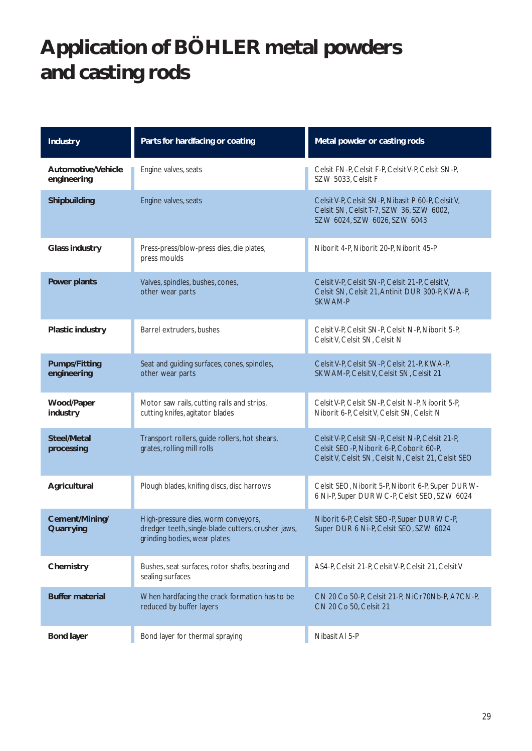# **Application of BÖHLER metal powders and casting rods**

| <b>Industry</b>                     | Parts for hardfacing or coating                                                                                           | Metal powder or casting rods                                                                                                                          |
|-------------------------------------|---------------------------------------------------------------------------------------------------------------------------|-------------------------------------------------------------------------------------------------------------------------------------------------------|
| Automotive/Vehicle<br>engineering   | Engine valves, seats                                                                                                      | Celsit FN-P, Celsit F-P, Celsit V-P, Celsit SN-P,<br>SZW 5033, Celsit F                                                                               |
| Shipbuilding                        | Engine valves, seats                                                                                                      | Celsit V-P, Celsit SN-P, Nibasit P 60-P, Celsit V,<br>Celsit SN, Celsit T-7, SZW 36, SZW 6002,<br>SZW 6024, SZW 6026, SZW 6043                        |
| <b>Glass industry</b>               | Press-press/blow-press dies, die plates,<br>press moulds                                                                  | Niborit 4-P, Niborit 20-P, Niborit 45-P                                                                                                               |
| <b>Power plants</b>                 | Valves, spindles, bushes, cones,<br>other wear parts                                                                      | Celsit V-P, Celsit SN-P, Celsit 21-P, Celsit V,<br>Celsit SN, Celsit 21, Antinit DUR 300-P, KWA-P,<br><b>SKWAM-P</b>                                  |
| Plastic industry                    | Barrel extruders, bushes                                                                                                  | Celsit V-P, Celsit SN-P, Celsit N-P, Niborit 5-P,<br>Celsit V, Celsit SN, Celsit N                                                                    |
| <b>Pumps/Fitting</b><br>engineering | Seat and guiding surfaces, cones, spindles,<br>other wear parts                                                           | Celsit V-P, Celsit SN-P, Celsit 21-P, KWA-P,<br>SKWAM-P, Celsit V, Celsit SN, Celsit 21                                                               |
| Wood/Paper<br>industry              | Motor saw rails, cutting rails and strips,<br>cutting knifes, agitator blades                                             | Celsit V-P, Celsit SN-P, Celsit N-P, Niborit 5-P,<br>Niborit 6-P, Celsit V, Celsit SN, Celsit N                                                       |
| <b>Steel/Metal</b><br>processing    | Transport rollers, guide rollers, hot shears,<br>grates, rolling mill rolls                                               | Celsit V-P, Celsit SN-P, Celsit N-P, Celsit 21-P,<br>Celsit SEO-P, Niborit 6-P, Coborit 60-P,<br>Celsit V, Celsit SN, Celsit N, Celsit 21, Celsit SEO |
| Agricultural                        | Plough blades, knifing discs, disc harrows                                                                                | Celsit SEO, Niborit 5-P, Niborit 6-P, Super DUR W-<br>6 Ni-P, Super DUR WC-P, Celsit SEO, SZW 6024                                                    |
| Cement/Mining/<br>Quarrying         | High-pressure dies, worm conveyors,<br>dredger teeth, single-blade cutters, crusher jaws,<br>grinding bodies, wear plates | Niborit 6-P, Celsit SEO-P, Super DUR WC-P,<br>Super DUR 6 Ni-P, Celsit SEO, SZW 6024                                                                  |
| Chemistry                           | Bushes, seat surfaces, rotor shafts, bearing and<br>sealing surfaces                                                      | AS4-P, Celsit 21-P, Celsit V-P, Celsit 21, Celsit V                                                                                                   |
| <b>Buffer material</b>              | When hardfacing the crack formation has to be<br>reduced by buffer layers                                                 | CN 20 Co 50-P, Celsit 21-P, NiCr70Nb-P, A7CN-P,<br>CN 20 Co 50, Celsit 21                                                                             |
| <b>Bond layer</b>                   | Bond layer for thermal spraying                                                                                           | Nibasit Al 5-P                                                                                                                                        |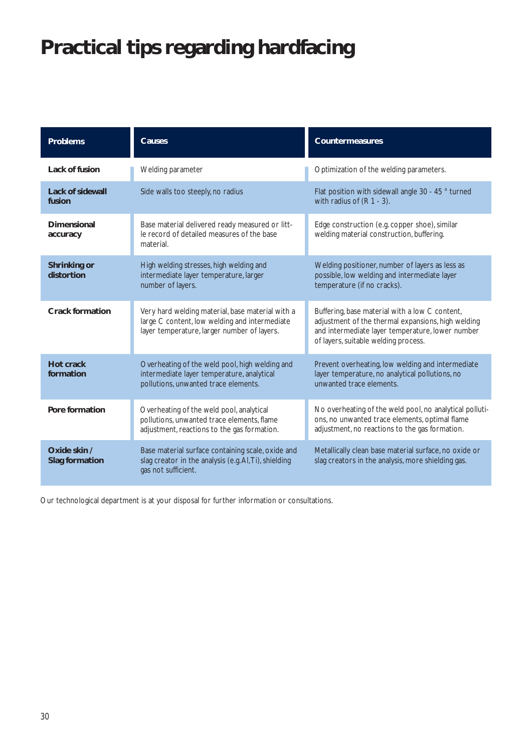# **Practical tips regarding hardfacing**

| <b>Problems</b>                       | <b>Causes</b>                                                                                                                                    | <b>Countermeasures</b>                                                                                                                                                                           |
|---------------------------------------|--------------------------------------------------------------------------------------------------------------------------------------------------|--------------------------------------------------------------------------------------------------------------------------------------------------------------------------------------------------|
| Lack of fusion                        | Welding parameter                                                                                                                                | Optimization of the welding parameters.                                                                                                                                                          |
| <b>Lack of sidewall</b><br>fusion     | Side walls too steeply, no radius                                                                                                                | Flat position with sidewall angle 30 - 45 ° turned<br>with radius of $(R 1 - 3)$ .                                                                                                               |
| Dimensional<br>accuracy               | Base material delivered ready measured or litt-<br>le record of detailed measures of the base<br>material.                                       | Edge construction (e.g. copper shoe), similar<br>welding material construction, buffering.                                                                                                       |
| <b>Shrinking or</b><br>distortion     | High welding stresses, high welding and<br>intermediate layer temperature, larger<br>number of layers.                                           | Welding positioner, number of layers as less as<br>possible, low welding and intermediate layer<br>temperature (if no cracks).                                                                   |
| <b>Crack formation</b>                | Very hard welding material, base material with a<br>large C content, low welding and intermediate<br>layer temperature, larger number of layers. | Buffering, base material with a low C content,<br>adjustment of the thermal expansions, high welding<br>and intermediate layer temperature, lower number<br>of layers, suitable welding process. |
| <b>Hot crack</b><br>formation         | Overheating of the weld pool, high welding and<br>intermediate layer temperature, analytical<br>pollutions, unwanted trace elements.             | Prevent overheating, low welding and intermediate<br>layer temperature, no analytical pollutions, no<br>unwanted trace elements.                                                                 |
| Pore formation                        | Overheating of the weld pool, analytical<br>pollutions, unwanted trace elements, flame<br>adjustment, reactions to the gas formation.            | No overheating of the weld pool, no analytical polluti-<br>ons, no unwanted trace elements, optimal flame<br>adjustment, no reactions to the gas formation.                                      |
| Oxide skin /<br><b>Slag formation</b> | Base material surface containing scale, oxide and<br>slag creator in the analysis (e.g. Al, Ti), shielding<br>gas not sufficient.                | Metallically clean base material surface, no oxide or<br>slag creators in the analysis, more shielding gas.                                                                                      |

Our technological department is at your disposal for further information or consultations.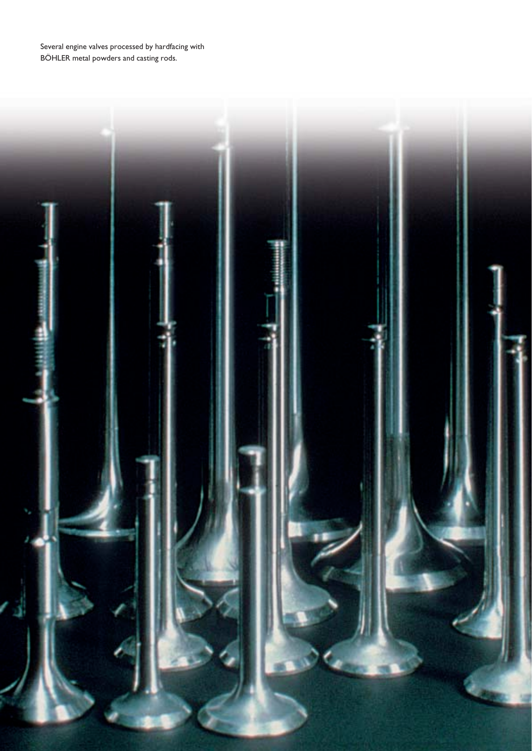Several engine valves processed by hardfacing with BÖHLER metal powders and casting rods.